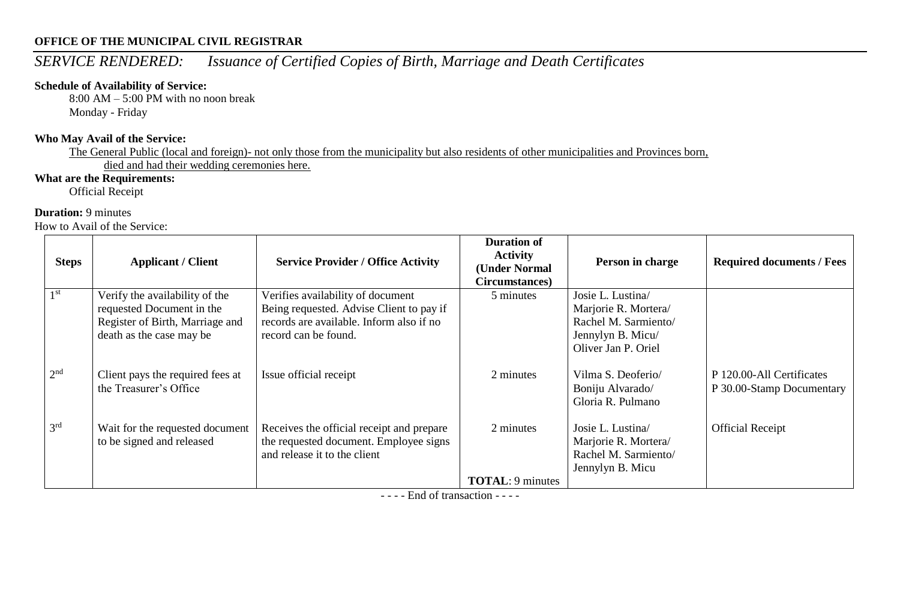# *SERVICE RENDERED: Issuance of Certified Copies of Birth, Marriage and Death Certificates*

#### **Schedule of Availability of Service:**

8:00 AM – 5:00 PM with no noon break Monday - Friday

#### **Who May Avail of the Service:**

The General Public (local and foreign)- not only those from the municipality but also residents of other municipalities and Provinces born, died and had their wedding ceremonies here.

### **What are the Requirements:**

Official Receipt

#### **Duration:** 9 minutes

How to Avail of the Service:

| <b>Steps</b>    | <b>Applicant / Client</b>                                                                                                  | <b>Service Provider / Office Activity</b>                                                                                                         | <b>Duration of</b><br><b>Activity</b><br>(Under Normal<br>Circumstances) | Person in charge                                                                                              | <b>Required documents / Fees</b>                       |
|-----------------|----------------------------------------------------------------------------------------------------------------------------|---------------------------------------------------------------------------------------------------------------------------------------------------|--------------------------------------------------------------------------|---------------------------------------------------------------------------------------------------------------|--------------------------------------------------------|
| 1 <sup>st</sup> | Verify the availability of the<br>requested Document in the<br>Register of Birth, Marriage and<br>death as the case may be | Verifies availability of document<br>Being requested. Advise Client to pay if<br>records are available. Inform also if no<br>record can be found. | 5 minutes                                                                | Josie L. Lustina/<br>Marjorie R. Mortera/<br>Rachel M. Sarmiento/<br>Jennylyn B. Micu/<br>Oliver Jan P. Oriel |                                                        |
| 2 <sup>nd</sup> | Client pays the required fees at<br>the Treasurer's Office                                                                 | Issue official receipt                                                                                                                            | 2 minutes                                                                | Vilma S. Deoferio/<br>Boniju Alvarado/<br>Gloria R. Pulmano                                                   | P 120.00-All Certificates<br>P 30.00-Stamp Documentary |
| 3 <sup>rd</sup> | Wait for the requested document<br>to be signed and released                                                               | Receives the official receipt and prepare<br>the requested document. Employee signs<br>and release it to the client                               | 2 minutes                                                                | Josie L. Lustina<br>Marjorie R. Mortera/<br>Rachel M. Sarmiento/<br>Jennylyn B. Micu                          | <b>Official Receipt</b>                                |
|                 |                                                                                                                            |                                                                                                                                                   | <b>TOTAL: 9 minutes</b>                                                  |                                                                                                               |                                                        |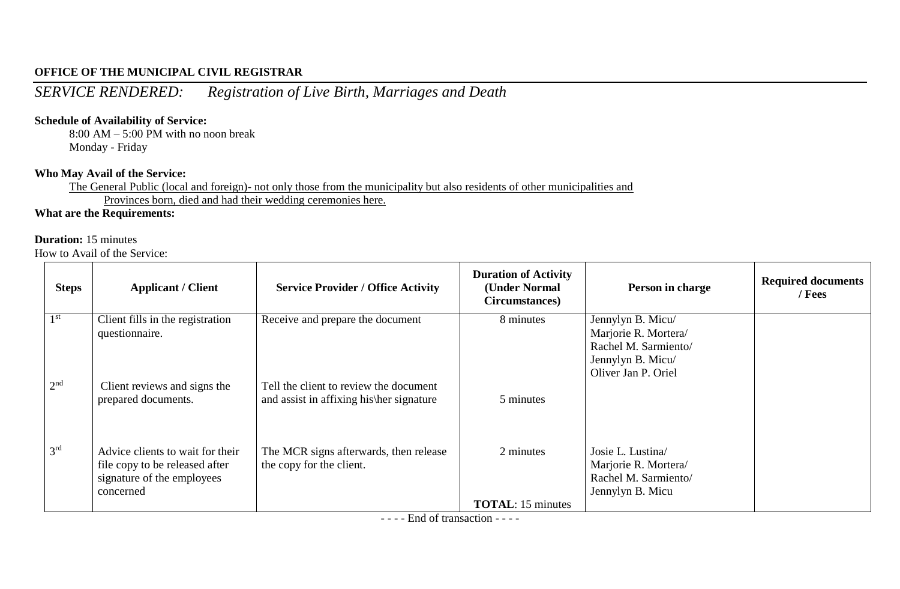*SERVICE RENDERED: Registration of Live Birth, Marriages and Death*

#### **Schedule of Availability of Service:**

8:00 AM – 5:00 PM with no noon break Monday - Friday

#### **Who May Avail of the Service:**

The General Public (local and foreign)- not only those from the municipality but also residents of other municipalities and Provinces born, died and had their wedding ceremonies here.

## **What are the Requirements:**

#### **Duration:** 15 minutes

How to Avail of the Service:

| <b>Steps</b>    | <b>Applicant / Client</b>                                                                                     | <b>Service Provider / Office Activity</b>                                                 | <b>Duration of Activity</b><br>(Under Normal<br>Circumstances) | Person in charge                                                                                              | <b>Required documents</b><br>/ Fees |
|-----------------|---------------------------------------------------------------------------------------------------------------|-------------------------------------------------------------------------------------------|----------------------------------------------------------------|---------------------------------------------------------------------------------------------------------------|-------------------------------------|
| 1 <sup>st</sup> | Client fills in the registration<br>questionnaire.                                                            | Receive and prepare the document                                                          | 8 minutes                                                      | Jennylyn B. Micu/<br>Marjorie R. Mortera/<br>Rachel M. Sarmiento/<br>Jennylyn B. Micu/<br>Oliver Jan P. Oriel |                                     |
| 2 <sup>nd</sup> | Client reviews and signs the<br>prepared documents.                                                           | Tell the client to review the document<br>and assist in affixing his her signature        | 5 minutes                                                      |                                                                                                               |                                     |
| 3 <sup>rd</sup> | Advice clients to wait for their<br>file copy to be released after<br>signature of the employees<br>concerned | The MCR signs afterwards, then release<br>the copy for the client.                        | 2 minutes                                                      | Josie L. Lustina/<br>Marjorie R. Mortera/<br>Rachel M. Sarmiento/<br>Jennylyn B. Micu                         |                                     |
|                 |                                                                                                               | $\blacksquare$ $\blacksquare$ $\blacksquare$ $\blacksquare$ $\blacksquare$ $\blacksquare$ | <b>TOTAL:</b> 15 minutes                                       |                                                                                                               |                                     |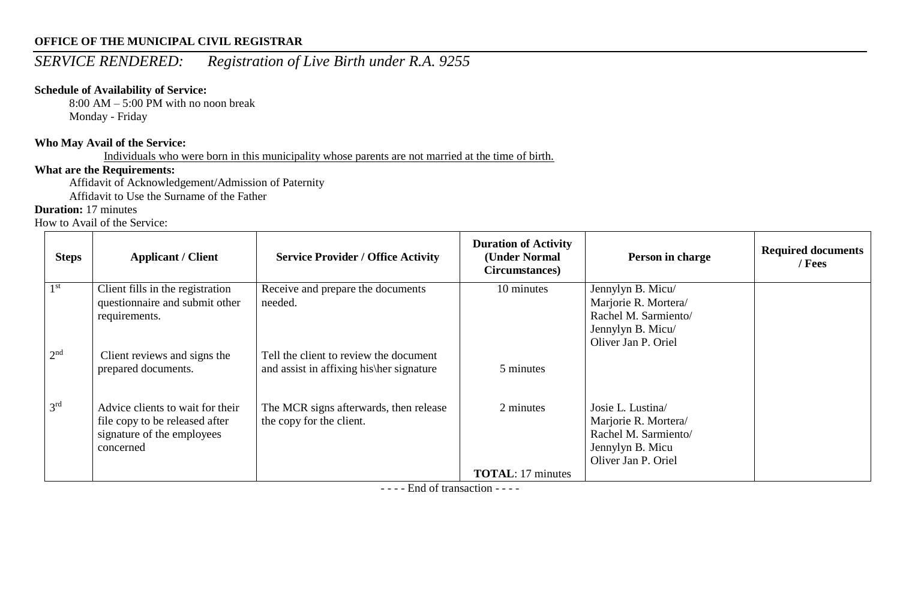# *SERVICE RENDERED: Registration of Live Birth under R.A. 9255*

## **Schedule of Availability of Service:**

8:00 AM – 5:00 PM with no noon break Monday - Friday

#### **Who May Avail of the Service:**

Individuals who were born in this municipality whose parents are not married at the time of birth.

## **What are the Requirements:**

Affidavit of Acknowledgement/Admission of Paternity

Affidavit to Use the Surname of the Father

## **Duration:** 17 minutes

How to Avail of the Service:

| <b>Steps</b>    | <b>Applicant / Client</b>                                                                                     | <b>Service Provider / Office Activity</b>                                          | <b>Duration of Activity</b><br>(Under Normal<br>Circumstances) | Person in charge                                                                                              | <b>Required documents</b><br>/ Fees |
|-----------------|---------------------------------------------------------------------------------------------------------------|------------------------------------------------------------------------------------|----------------------------------------------------------------|---------------------------------------------------------------------------------------------------------------|-------------------------------------|
| 1 <sup>st</sup> | Client fills in the registration<br>questionnaire and submit other<br>requirements.                           | Receive and prepare the documents<br>needed.                                       | 10 minutes                                                     | Jennylyn B. Micu/<br>Marjorie R. Mortera/<br>Rachel M. Sarmiento/<br>Jennylyn B. Micu/<br>Oliver Jan P. Oriel |                                     |
| 2 <sup>nd</sup> | Client reviews and signs the<br>prepared documents.                                                           | Tell the client to review the document<br>and assist in affixing his her signature | 5 minutes                                                      |                                                                                                               |                                     |
| 3 <sup>rd</sup> | Advice clients to wait for their<br>file copy to be released after<br>signature of the employees<br>concerned | The MCR signs afterwards, then release<br>the copy for the client.                 | 2 minutes                                                      | Josie L. Lustina/<br>Marjorie R. Mortera/<br>Rachel M. Sarmiento/<br>Jennylyn B. Micu<br>Oliver Jan P. Oriel  |                                     |
|                 |                                                                                                               |                                                                                    | <b>TOTAL:</b> 17 minutes                                       |                                                                                                               |                                     |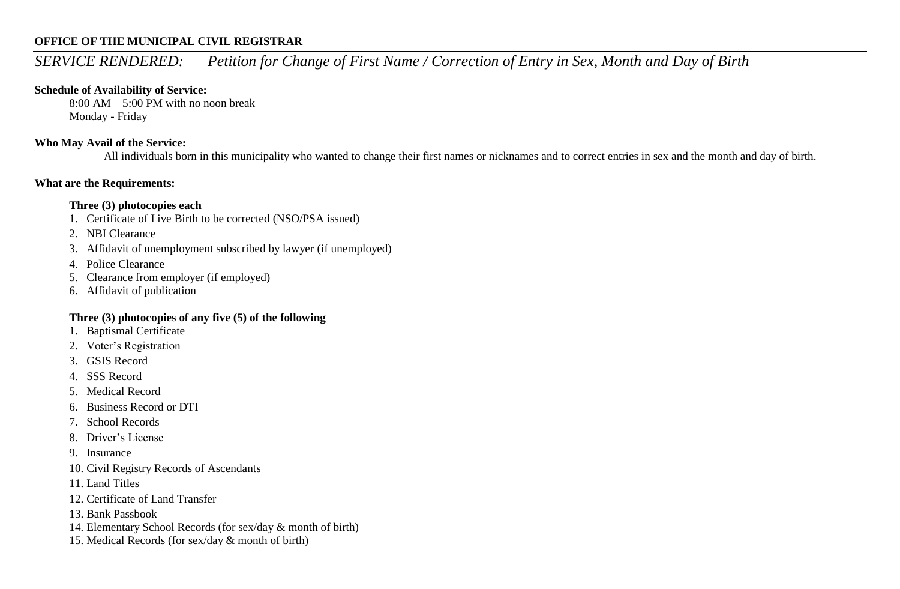# *SERVICE RENDERED: Petition for Change of First Name / Correction of Entry in Sex, Month and Day of Birth*

#### **Schedule of Availability of Service:**

8:00 AM – 5:00 PM with no noon break Monday - Friday

#### **Who May Avail of the Service:**

All individuals born in this municipality who wanted to change their first names or nicknames and to correct entries in sex and the month and day of birth.

#### **What are the Requirements:**

#### **Three (3) photocopies each**

- 1. Certificate of Live Birth to be corrected (NSO/PSA issued)
- 2. NBI Clearance
- 3. Affidavit of unemployment subscribed by lawyer (if unemployed)
- 4. Police Clearance
- 5. Clearance from employer (if employed)
- 6. Affidavit of publication

#### **Three (3) photocopies of any five (5) of the following**

- 1. Baptismal Certificate
- 2. Voter's Registration
- 3. GSIS Record
- 4. SSS Record
- 5. Medical Record
- 6. Business Record or DTI
- 7. School Records
- 8. Driver's License
- 9. Insurance
- 10. Civil Registry Records of Ascendants
- 11. Land Titles
- 12. Certificate of Land Transfer
- 13. Bank Passbook
- 14. Elementary School Records (for sex/day & month of birth)
- 15. Medical Records (for sex/day & month of birth)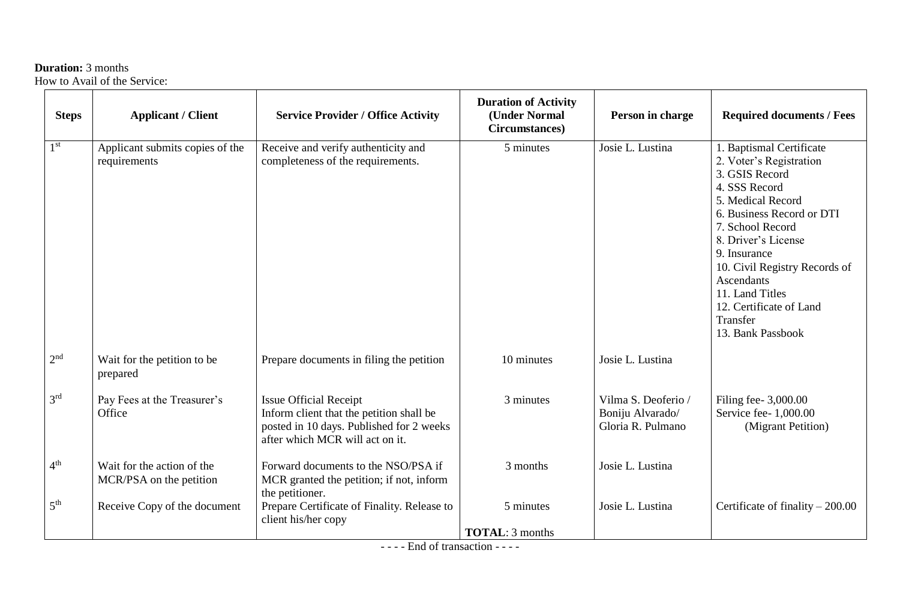## **Duration:** 3 months

How to Avail of the Service:

| <b>Steps</b>    | <b>Applicant / Client</b>                             | <b>Service Provider / Office Activity</b>                                                                                                                | <b>Duration of Activity</b><br>(Under Normal<br>Circumstances) | Person in charge                                             | <b>Required documents / Fees</b>                                                                                                                                                                                                                                                                                                         |
|-----------------|-------------------------------------------------------|----------------------------------------------------------------------------------------------------------------------------------------------------------|----------------------------------------------------------------|--------------------------------------------------------------|------------------------------------------------------------------------------------------------------------------------------------------------------------------------------------------------------------------------------------------------------------------------------------------------------------------------------------------|
| 1 <sup>st</sup> | Applicant submits copies of the<br>requirements       | Receive and verify authenticity and<br>completeness of the requirements.                                                                                 | 5 minutes                                                      | Josie L. Lustina                                             | 1. Baptismal Certificate<br>2. Voter's Registration<br>3. GSIS Record<br>4. SSS Record<br>5. Medical Record<br>6. Business Record or DTI<br>7. School Record<br>8. Driver's License<br>9. Insurance<br>10. Civil Registry Records of<br><b>Ascendants</b><br>11. Land Titles<br>12. Certificate of Land<br>Transfer<br>13. Bank Passbook |
| 2 <sup>nd</sup> | Wait for the petition to be<br>prepared               | Prepare documents in filing the petition                                                                                                                 | 10 minutes                                                     | Josie L. Lustina                                             |                                                                                                                                                                                                                                                                                                                                          |
| 3 <sup>rd</sup> | Pay Fees at the Treasurer's<br>Office                 | <b>Issue Official Receipt</b><br>Inform client that the petition shall be<br>posted in 10 days. Published for 2 weeks<br>after which MCR will act on it. | 3 minutes                                                      | Vilma S. Deoferio /<br>Boniju Alvarado/<br>Gloria R. Pulmano | Filing fee- 3,000.00<br>Service fee- 1,000.00<br>(Migrant Petition)                                                                                                                                                                                                                                                                      |
| 4 <sup>th</sup> | Wait for the action of the<br>MCR/PSA on the petition | Forward documents to the NSO/PSA if<br>MCR granted the petition; if not, inform<br>the petitioner.                                                       | 3 months                                                       | Josie L. Lustina                                             |                                                                                                                                                                                                                                                                                                                                          |
| 5 <sup>th</sup> | Receive Copy of the document                          | Prepare Certificate of Finality. Release to<br>client his/her copy                                                                                       | 5 minutes<br><b>TOTAL: 3 months</b>                            | Josie L. Lustina                                             | Certificate of finality $-200.00$                                                                                                                                                                                                                                                                                                        |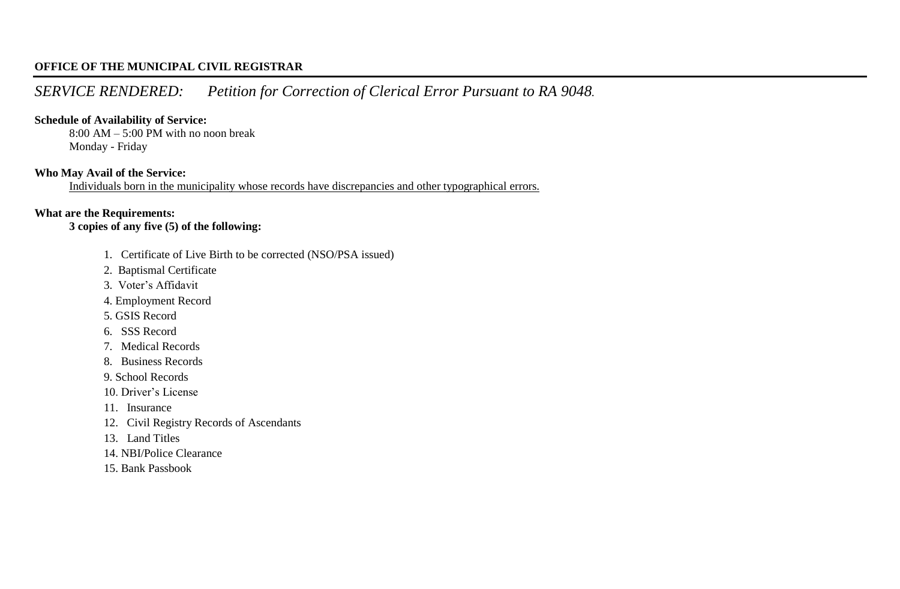# *SERVICE RENDERED: Petition for Correction of Clerical Error Pursuant to RA 9048.*

#### **Schedule of Availability of Service:**

8:00 AM – 5:00 PM with no noon break Monday - Friday

#### **Who May Avail of the Service:**

Individuals born in the municipality whose records have discrepancies and other typographical errors.

#### **What are the Requirements:**

**3 copies of any five (5) of the following:**

- 1. Certificate of Live Birth to be corrected (NSO/PSA issued)
- 2. Baptismal Certificate
- 3. Voter's Affidavit
- 4. Employment Record
- 5. GSIS Record
- 6. SSS Record
- 7. Medical Records
- 8. Business Records
- 9. School Records
- 10. Driver's License
- 11. Insurance
- 12. Civil Registry Records of Ascendants
- 13. Land Titles
- 14. NBI/Police Clearance
- 15. Bank Passbook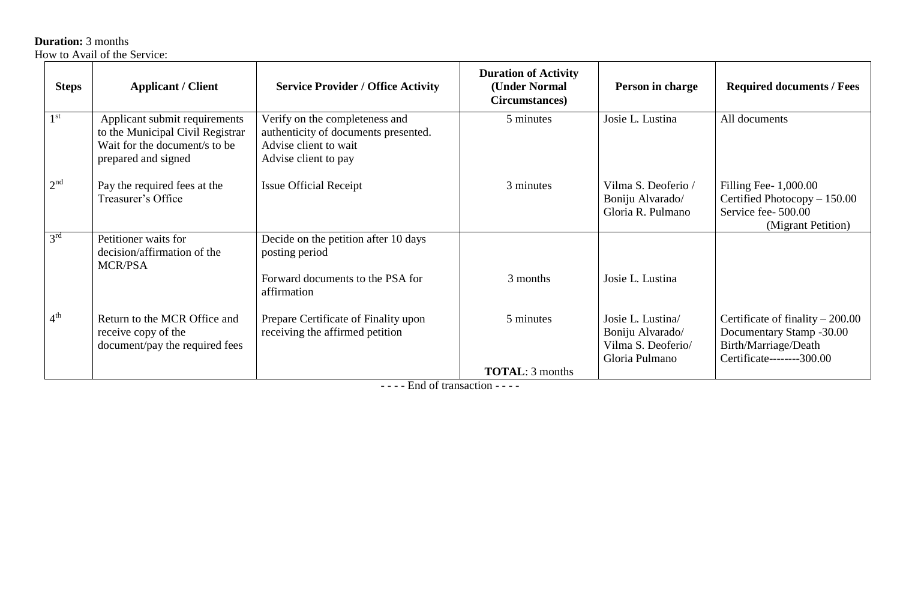**Duration:** 3 months

How to Avail of the Service:

| <b>Steps</b>    | <b>Applicant / Client</b>                                                                                                 | <b>Service Provider / Office Activity</b>                                                                               | <b>Duration of Activity</b><br>(Under Normal<br>Circumstances) | Person in charge                                                              | <b>Required documents / Fees</b>                                                                                   |
|-----------------|---------------------------------------------------------------------------------------------------------------------------|-------------------------------------------------------------------------------------------------------------------------|----------------------------------------------------------------|-------------------------------------------------------------------------------|--------------------------------------------------------------------------------------------------------------------|
| 1 <sup>st</sup> | Applicant submit requirements<br>to the Municipal Civil Registrar<br>Wait for the document/s to be<br>prepared and signed | Verify on the completeness and<br>authenticity of documents presented.<br>Advise client to wait<br>Advise client to pay | 5 minutes                                                      | Josie L. Lustina                                                              | All documents                                                                                                      |
| 2 <sup>nd</sup> | Pay the required fees at the<br>Treasurer's Office                                                                        | <b>Issue Official Receipt</b>                                                                                           | 3 minutes                                                      | Vilma S. Deoferio /<br>Boniju Alvarado/<br>Gloria R. Pulmano                  | Filling Fee- $1,000.00$<br>Certified Photocopy - 150.00<br>Service fee- 500.00<br>(Migrant Petition)               |
| 3 <sup>rd</sup> | Petitioner waits for<br>decision/affirmation of the<br><b>MCR/PSA</b>                                                     | Decide on the petition after 10 days<br>posting period                                                                  |                                                                |                                                                               |                                                                                                                    |
|                 |                                                                                                                           | Forward documents to the PSA for<br>affirmation                                                                         | 3 months                                                       | Josie L. Lustina                                                              |                                                                                                                    |
| 4 <sup>th</sup> | Return to the MCR Office and<br>receive copy of the<br>document/pay the required fees                                     | Prepare Certificate of Finality upon<br>receiving the affirmed petition                                                 | 5 minutes                                                      | Josie L. Lustina/<br>Boniju Alvarado/<br>Vilma S. Deoferio/<br>Gloria Pulmano | Certificate of finality $-200.00$<br>Documentary Stamp -30.00<br>Birth/Marriage/Death<br>Certificate--------300.00 |
|                 |                                                                                                                           |                                                                                                                         | <b>TOTAL:</b> 3 months                                         |                                                                               |                                                                                                                    |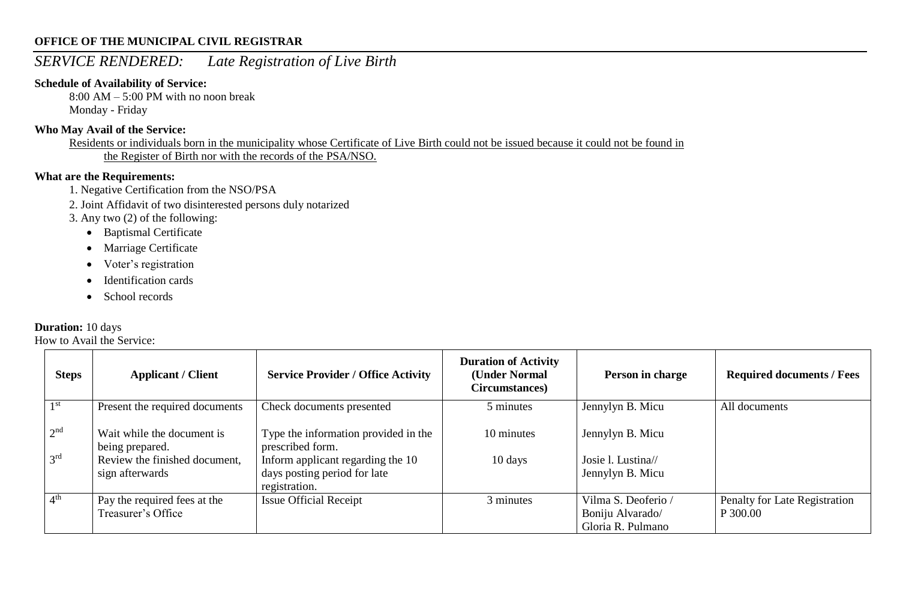## *SERVICE RENDERED: Late Registration of Live Birth*

#### **Schedule of Availability of Service:**

8:00 AM – 5:00 PM with no noon break Monday - Friday

#### **Who May Avail of the Service:**

Residents or individuals born in the municipality whose Certificate of Live Birth could not be issued because it could not be found in the Register of Birth nor with the records of the PSA/NSO.

#### **What are the Requirements:**

- 1. Negative Certification from the NSO/PSA
- 2. Joint Affidavit of two disinterested persons duly notarized
- 3. Any two (2) of the following:
	- Baptismal Certificate
	- Marriage Certificate
	- Voter's registration
	- Identification cards
	- School records

#### **Duration:** 10 days

| <b>Steps</b>    | <b>Applicant / Client</b>                          | <b>Service Provider / Office Activity</b>                                          | <b>Duration of Activity</b><br>(Under Normal<br>Circumstances) | Person in charge                                             | <b>Required documents / Fees</b>          |
|-----------------|----------------------------------------------------|------------------------------------------------------------------------------------|----------------------------------------------------------------|--------------------------------------------------------------|-------------------------------------------|
| 1 <sup>st</sup> | Present the required documents                     | Check documents presented                                                          | 5 minutes                                                      | Jennylyn B. Micu                                             | All documents                             |
| 2 <sup>nd</sup> | Wait while the document is<br>being prepared.      | Type the information provided in the<br>prescribed form.                           | 10 minutes                                                     | Jennylyn B. Micu                                             |                                           |
| 3 <sup>rd</sup> | Review the finished document,<br>sign afterwards   | Inform applicant regarding the 10<br>days posting period for late<br>registration. | 10 days                                                        | Josie l. Lustina//<br>Jennylyn B. Micu                       |                                           |
| 4 <sup>th</sup> | Pay the required fees at the<br>Treasurer's Office | <b>Issue Official Receipt</b>                                                      | 3 minutes                                                      | Vilma S. Deoferio /<br>Boniju Alvarado/<br>Gloria R. Pulmano | Penalty for Late Registration<br>P 300.00 |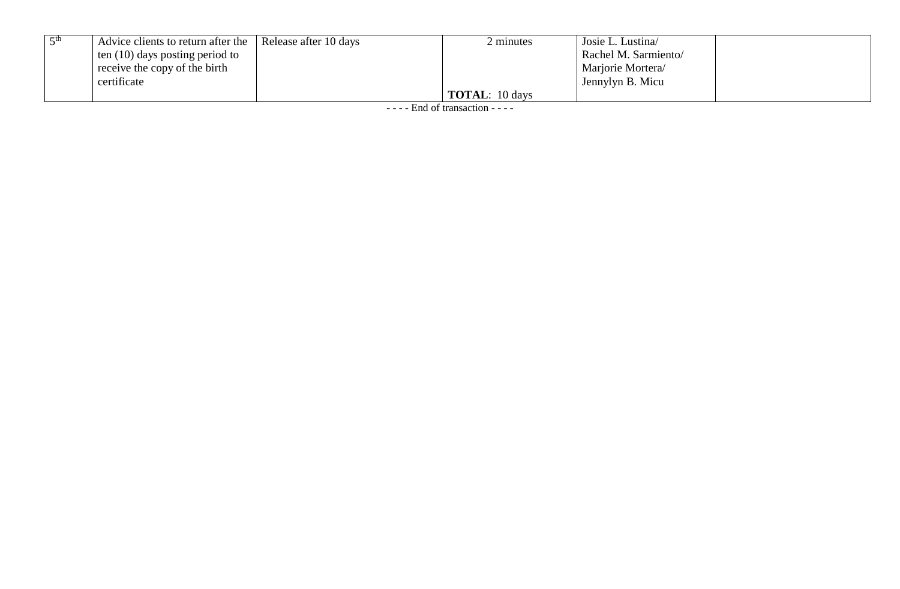| Advice clients to return after the Release after 10 days | minutes               | Josie L. Lustina     |  |
|----------------------------------------------------------|-----------------------|----------------------|--|
| ten $(10)$ days posting period to                        |                       | Rachel M. Sarmiento/ |  |
| $\perp$ receive the copy of the birth                    |                       | Marjorie Mortera     |  |
| certificate                                              |                       | Jennylyn B. Micu     |  |
|                                                          | <b>TOTAL:</b> 10 days |                      |  |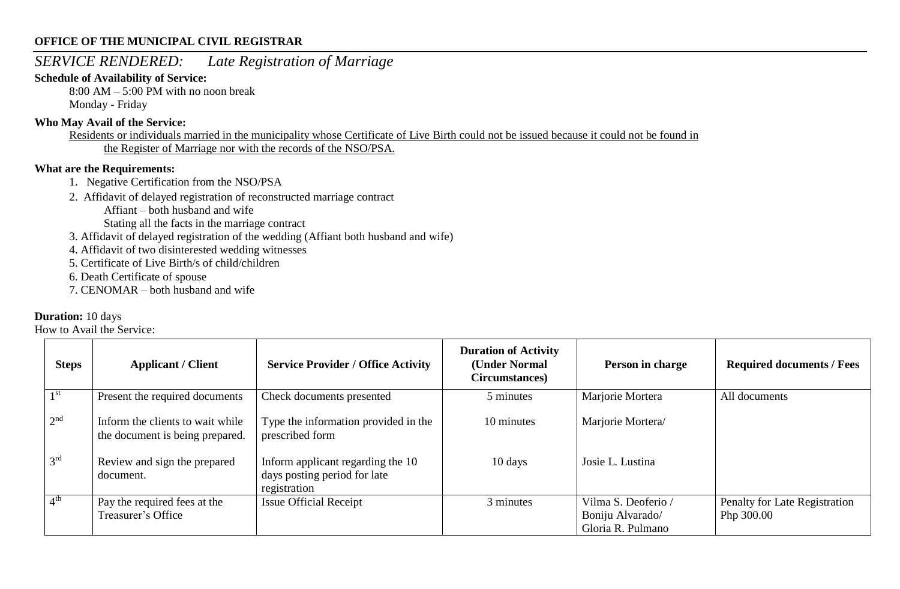## *SERVICE RENDERED: Late Registration of Marriage*

#### **Schedule of Availability of Service:**

 $8:00$  AM – 5:00 PM with no noon break Monday - Friday

#### **Who May Avail of the Service:**

Residents or individuals married in the municipality whose Certificate of Live Birth could not be issued because it could not be found in the Register of Marriage nor with the records of the NSO/PSA.

#### **What are the Requirements:**

- 1. Negative Certification from the NSO/PSA
- 2. Affidavit of delayed registration of reconstructed marriage contract
	- Affiant both husband and wife
	- Stating all the facts in the marriage contract
- 3. Affidavit of delayed registration of the wedding (Affiant both husband and wife)
- 4. Affidavit of two disinterested wedding witnesses
- 5. Certificate of Live Birth/s of child/children
- 6. Death Certificate of spouse
- 7. CENOMAR both husband and wife

#### **Duration:** 10 days

| <b>Steps</b>    | <b>Applicant / Client</b>                                           | <b>Service Provider / Office Activity</b>                                         | <b>Duration of Activity</b><br>(Under Normal<br>Circumstances) | Person in charge                                             | <b>Required documents / Fees</b>            |
|-----------------|---------------------------------------------------------------------|-----------------------------------------------------------------------------------|----------------------------------------------------------------|--------------------------------------------------------------|---------------------------------------------|
| 1 <sup>st</sup> | Present the required documents                                      | Check documents presented                                                         | 5 minutes                                                      | Marjorie Mortera                                             | All documents                               |
| 2 <sup>nd</sup> | Inform the clients to wait while<br>the document is being prepared. | Type the information provided in the<br>prescribed form                           | 10 minutes                                                     | Marjorie Mortera/                                            |                                             |
| 3 <sup>rd</sup> | Review and sign the prepared<br>document.                           | Inform applicant regarding the 10<br>days posting period for late<br>registration | 10 days                                                        | Josie L. Lustina                                             |                                             |
| 4 <sup>th</sup> | Pay the required fees at the<br>Treasurer's Office                  | <b>Issue Official Receipt</b>                                                     | 3 minutes                                                      | Vilma S. Deoferio /<br>Boniju Alvarado/<br>Gloria R. Pulmano | Penalty for Late Registration<br>Php 300.00 |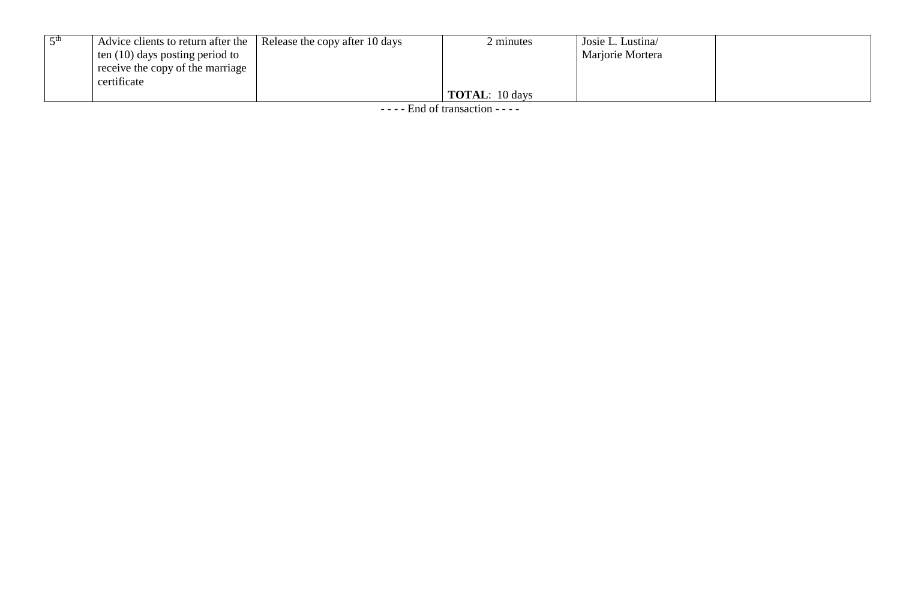| k ⊄th | Advice clients to return after the   Release the copy after 10 days | minutes               | Josie L. Lustina |  |
|-------|---------------------------------------------------------------------|-----------------------|------------------|--|
|       | ten $(10)$ days posting period to                                   |                       | Marjorie Mortera |  |
|       | receive the copy of the marriage                                    |                       |                  |  |
|       | certificate                                                         |                       |                  |  |
|       |                                                                     | <b>TOTAL:</b> 10 days |                  |  |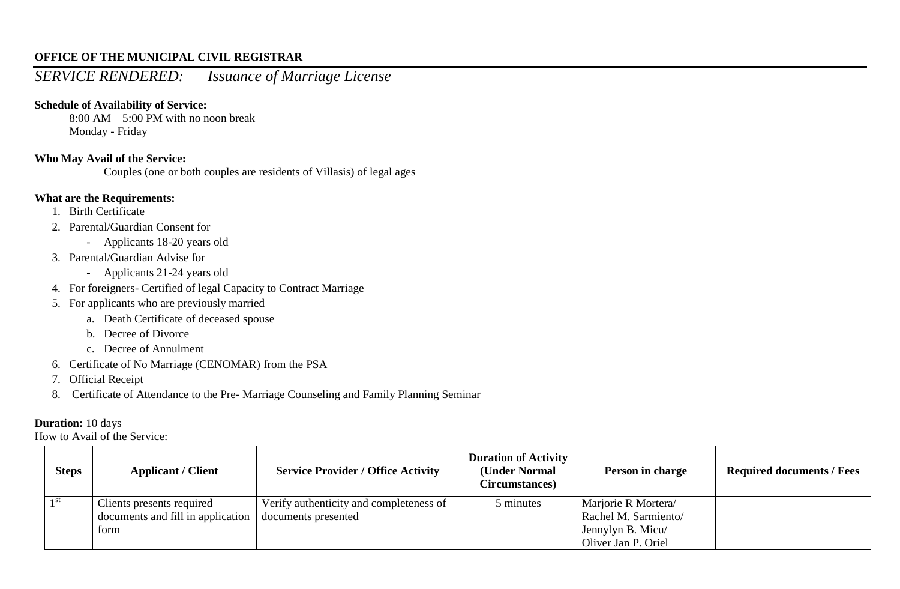## *SERVICE RENDERED: Issuance of Marriage License*

#### **Schedule of Availability of Service:**

8:00 AM – 5:00 PM with no noon break Monday - Friday

#### **Who May Avail of the Service:**

Couples (one or both couples are residents of Villasis) of legal ages

#### **What are the Requirements:**

- 1. Birth Certificate
- 2. Parental/Guardian Consent for
	- Applicants 18-20 years old
- 3. Parental/Guardian Advise for
	- Applicants 21-24 years old
- 4. For foreigners- Certified of legal Capacity to Contract Marriage
- 5. For applicants who are previously married
	- a. Death Certificate of deceased spouse
	- b. Decree of Divorce
	- c. Decree of Annulment
- 6. Certificate of No Marriage (CENOMAR) from the PSA
- 7. Official Receipt
- 8. Certificate of Attendance to the Pre- Marriage Counseling and Family Planning Seminar

#### **Duration:** 10 days

| <b>Steps</b> | <b>Applicant / Client</b>         | <b>Service Provider / Office Activity</b> | <b>Duration of Activity</b><br>(Under Normal<br>Circumstances) | Person in charge     | <b>Required documents / Fees</b> |
|--------------|-----------------------------------|-------------------------------------------|----------------------------------------------------------------|----------------------|----------------------------------|
| - 1 st       | Clients presents required         | Verify authenticity and completeness of   | 5 minutes                                                      | Marjorie R Mortera/  |                                  |
|              | documents and fill in application | documents presented                       |                                                                | Rachel M. Sarmiento/ |                                  |
|              | form                              |                                           |                                                                | Jennylyn B. Micu/    |                                  |
|              |                                   |                                           |                                                                | Oliver Jan P. Oriel  |                                  |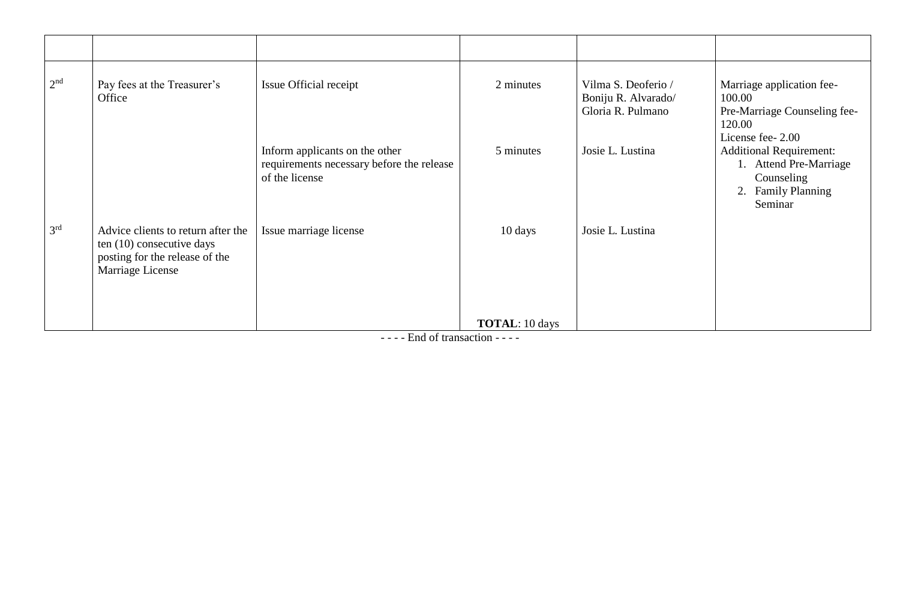| 2 <sup>nd</sup> | Pay fees at the Treasurer's<br>Office                                                                                 | Issue Official receipt                                                                        | 2 minutes             | Vilma S. Deoferio /<br>Boniju R. Alvarado/<br>Gloria R. Pulmano | Marriage application fee-<br>100.00<br>Pre-Marriage Counseling fee-<br>120.00<br>License fee- 2.00      |
|-----------------|-----------------------------------------------------------------------------------------------------------------------|-----------------------------------------------------------------------------------------------|-----------------------|-----------------------------------------------------------------|---------------------------------------------------------------------------------------------------------|
|                 |                                                                                                                       | Inform applicants on the other<br>requirements necessary before the release<br>of the license | 5 minutes             | Josie L. Lustina                                                | <b>Additional Requirement:</b><br>1. Attend Pre-Marriage<br>Counseling<br>2. Family Planning<br>Seminar |
| 3 <sup>rd</sup> | Advice clients to return after the<br>ten (10) consecutive days<br>posting for the release of the<br>Marriage License | Issue marriage license                                                                        | 10 days               | Josie L. Lustina                                                |                                                                                                         |
|                 |                                                                                                                       |                                                                                               | <b>TOTAL:</b> 10 days |                                                                 |                                                                                                         |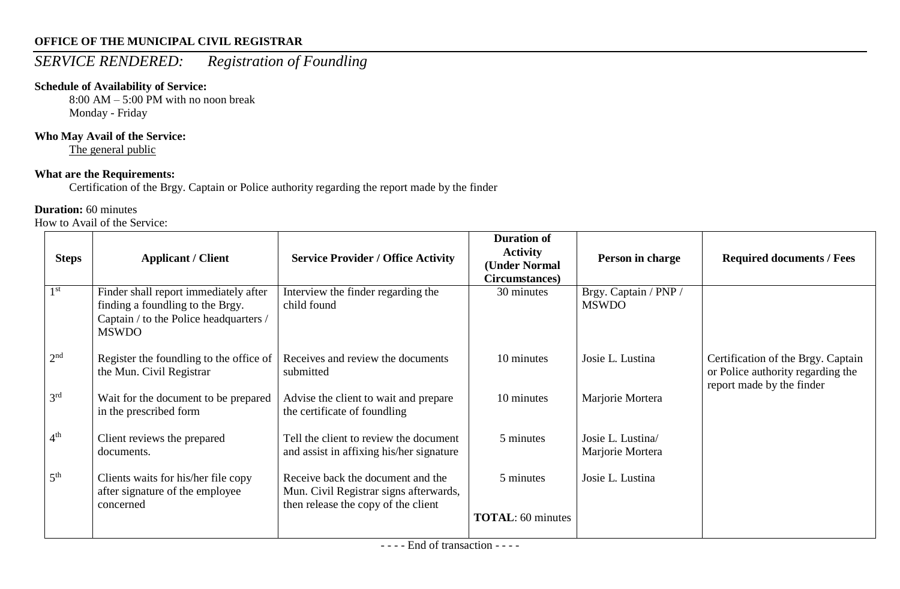# *SERVICE RENDERED: Registration of Foundling*

## **Schedule of Availability of Service:**

8:00 AM – 5:00 PM with no noon break Monday - Friday

## **Who May Avail of the Service:**

The general public

## **What are the Requirements:**

Certification of the Brgy. Captain or Police authority regarding the report made by the finder

## **Duration:** 60 minutes

| <b>Steps</b>    | <b>Applicant / Client</b>                                                                                                           | <b>Service Provider / Office Activity</b>                                                                          | <b>Duration of</b><br><b>Activity</b><br>(Under Normal<br>Circumstances) | Person in charge                      | <b>Required documents / Fees</b>                                                                     |
|-----------------|-------------------------------------------------------------------------------------------------------------------------------------|--------------------------------------------------------------------------------------------------------------------|--------------------------------------------------------------------------|---------------------------------------|------------------------------------------------------------------------------------------------------|
| 1 <sup>st</sup> | Finder shall report immediately after<br>finding a foundling to the Brgy.<br>Captain / to the Police headquarters /<br><b>MSWDO</b> | Interview the finder regarding the<br>child found                                                                  | 30 minutes                                                               | Brgy. Captain / PNP /<br><b>MSWDO</b> |                                                                                                      |
| 2 <sup>nd</sup> | Register the foundling to the office of<br>the Mun. Civil Registrar                                                                 | Receives and review the documents<br>submitted                                                                     | 10 minutes                                                               | Josie L. Lustina                      | Certification of the Brgy. Captain<br>or Police authority regarding the<br>report made by the finder |
| 3 <sup>rd</sup> | Wait for the document to be prepared<br>in the prescribed form                                                                      | Advise the client to wait and prepare<br>the certificate of foundling                                              | 10 minutes                                                               | Marjorie Mortera                      |                                                                                                      |
| 4 <sup>th</sup> | Client reviews the prepared<br>documents.                                                                                           | Tell the client to review the document<br>and assist in affixing his/her signature                                 | 5 minutes                                                                | Josie L. Lustina/<br>Marjorie Mortera |                                                                                                      |
| 5 <sup>th</sup> | Clients waits for his/her file copy<br>after signature of the employee<br>concerned                                                 | Receive back the document and the<br>Mun. Civil Registrar signs afterwards,<br>then release the copy of the client | 5 minutes                                                                | Josie L. Lustina                      |                                                                                                      |
|                 |                                                                                                                                     |                                                                                                                    | <b>TOTAL:</b> 60 minutes                                                 |                                       |                                                                                                      |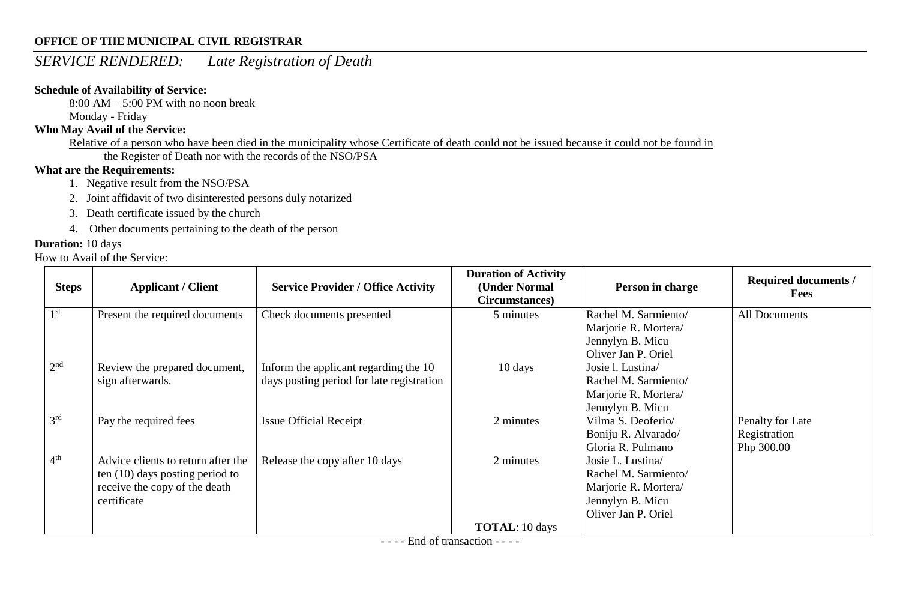## *SERVICE RENDERED: Late Registration of Death*

### **Schedule of Availability of Service:**

8:00 AM – 5:00 PM with no noon break

Monday - Friday

#### **Who May Avail of the Service:**

Relative of a person who have been died in the municipality whose Certificate of death could not be issued because it could not be found in the Register of Death nor with the records of the NSO/PSA

## **What are the Requirements:**

- 1. Negative result from the NSO/PSA
- 2. Joint affidavit of two disinterested persons duly notarized
- 3. Death certificate issued by the church
- 4. Other documents pertaining to the death of the person

## **Duration:** 10 days

How to Avail of the Service:

| <b>Steps</b>    | <b>Applicant / Client</b>                                                                                               | <b>Service Provider / Office Activity</b>                                          | <b>Duration of Activity</b><br>(Under Normal<br>Circumstances) | Person in charge                                                                                             | Required documents /<br><b>Fees</b>            |
|-----------------|-------------------------------------------------------------------------------------------------------------------------|------------------------------------------------------------------------------------|----------------------------------------------------------------|--------------------------------------------------------------------------------------------------------------|------------------------------------------------|
| 1 <sup>st</sup> | Present the required documents                                                                                          | Check documents presented                                                          | 5 minutes                                                      | Rachel M. Sarmiento/<br>Marjorie R. Mortera/<br>Jennylyn B. Micu<br>Oliver Jan P. Oriel                      | All Documents                                  |
| 2 <sup>nd</sup> | Review the prepared document,<br>sign afterwards.                                                                       | Inform the applicant regarding the 10<br>days posting period for late registration | 10 days                                                        | Josie I. Lustina<br>Rachel M. Sarmiento/<br>Marjorie R. Mortera/<br>Jennylyn B. Micu                         |                                                |
| 3 <sup>rd</sup> | Pay the required fees                                                                                                   | <b>Issue Official Receipt</b>                                                      | 2 minutes                                                      | Vilma S. Deoferio/<br>Boniju R. Alvarado/<br>Gloria R. Pulmano                                               | Penalty for Late<br>Registration<br>Php 300.00 |
| 4 <sup>th</sup> | Advice clients to return after the<br>ten $(10)$ days posting period to<br>receive the copy of the death<br>certificate | Release the copy after 10 days                                                     | 2 minutes                                                      | Josie L. Lustina/<br>Rachel M. Sarmiento/<br>Marjorie R. Mortera/<br>Jennylyn B. Micu<br>Oliver Jan P. Oriel |                                                |
|                 |                                                                                                                         |                                                                                    | <b>TOTAL</b> : 10 days                                         |                                                                                                              |                                                |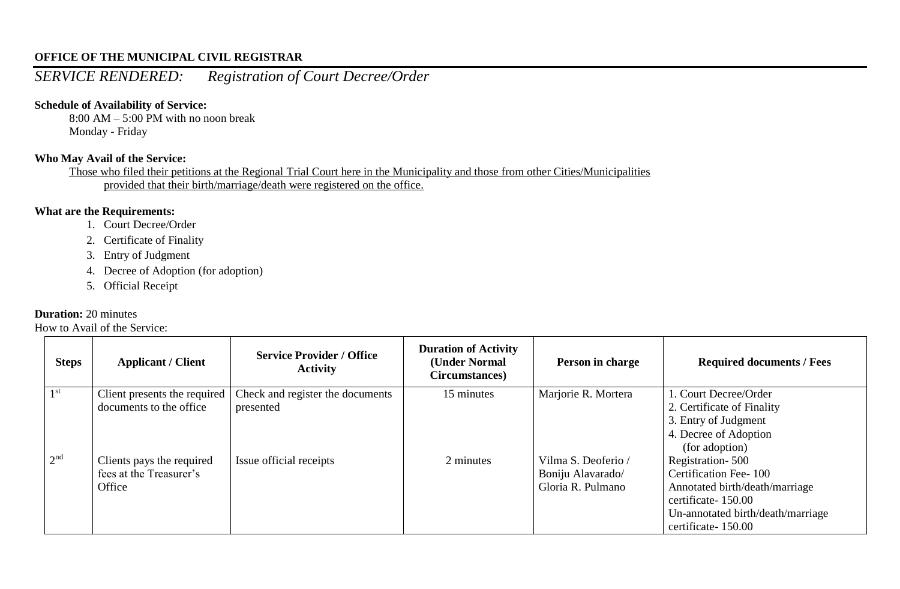## *SERVICE RENDERED: Registration of Court Decree/Order*

#### **Schedule of Availability of Service:**

8:00 AM – 5:00 PM with no noon break Monday - Friday

#### **Who May Avail of the Service:**

Those who filed their petitions at the Regional Trial Court here in the Municipality and those from other Cities/Municipalities provided that their birth/marriage/death were registered on the office.

#### **What are the Requirements:**

- 1. Court Decree/Order
- 2. Certificate of Finality
- 3. Entry of Judgment
- 4. Decree of Adoption (for adoption)
- 5. Official Receipt

#### **Duration:** 20 minutes

| <b>Steps</b>    | <b>Applicant / Client</b>    | <b>Service Provider / Office</b><br><b>Activity</b> | <b>Duration of Activity</b><br>(Under Normal<br>Circumstances) | Person in charge    | <b>Required documents / Fees</b>  |
|-----------------|------------------------------|-----------------------------------------------------|----------------------------------------------------------------|---------------------|-----------------------------------|
| 1 <sup>st</sup> | Client presents the required | Check and register the documents                    | 15 minutes                                                     | Marjorie R. Mortera | 1. Court Decree/Order             |
|                 | documents to the office      | presented                                           |                                                                |                     | 2. Certificate of Finality        |
|                 |                              |                                                     |                                                                |                     | 3. Entry of Judgment              |
|                 |                              |                                                     |                                                                |                     | 4. Decree of Adoption             |
|                 |                              |                                                     |                                                                |                     | (for adoption)                    |
| 2 <sup>nd</sup> | Clients pays the required    | Issue official receipts                             | 2 minutes                                                      | Vilma S. Deoferio / | Registration-500                  |
|                 | fees at the Treasurer's      |                                                     |                                                                | Boniju Alavarado/   | Certification Fee-100             |
|                 | Office                       |                                                     |                                                                | Gloria R. Pulmano   | Annotated birth/death/marriage    |
|                 |                              |                                                     |                                                                |                     | certificate-150.00                |
|                 |                              |                                                     |                                                                |                     | Un-annotated birth/death/marriage |
|                 |                              |                                                     |                                                                |                     | certificate-150.00                |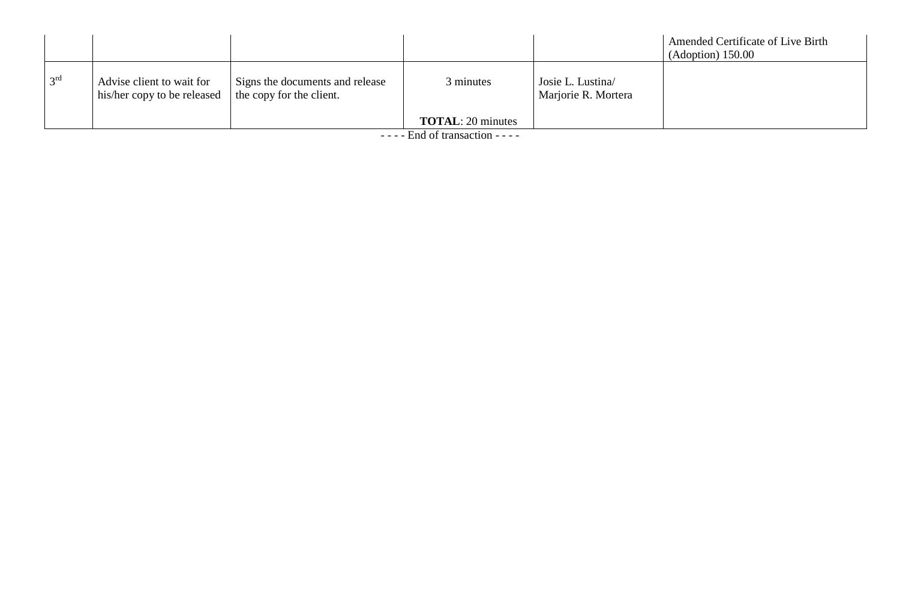|                 |                                                          |                                                             |                           |                                         | Amended Certificate of Live Birth<br>$(Adoption)$ 150.00 |
|-----------------|----------------------------------------------------------|-------------------------------------------------------------|---------------------------|-----------------------------------------|----------------------------------------------------------|
| 3 <sup>rd</sup> | Advise client to wait for<br>his/her copy to be released | Signs the documents and release<br>the copy for the client. | 3 minutes                 | Josie L. Lustina<br>Marjorie R. Mortera |                                                          |
|                 |                                                          |                                                             | <b>TOTAL</b> : 20 minutes |                                         |                                                          |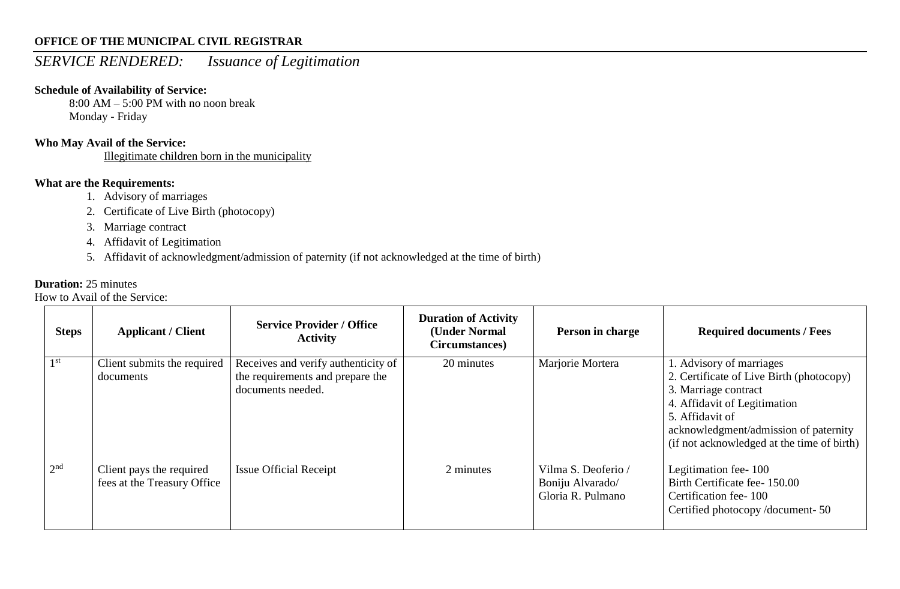## *SERVICE RENDERED: Issuance of Legitimation*

#### **Schedule of Availability of Service:**

8:00 AM – 5:00 PM with no noon break Monday - Friday

#### **Who May Avail of the Service:**

Illegitimate children born in the municipality

## **What are the Requirements:**

- 1. Advisory of marriages
- 2. Certificate of Live Birth (photocopy)
- 3. Marriage contract
- 4. Affidavit of Legitimation
- 5. Affidavit of acknowledgment/admission of paternity (if not acknowledged at the time of birth)

#### **Duration:** 25 minutes

| <b>Steps</b>    | <b>Applicant / Client</b>                               | <b>Service Provider / Office</b><br><b>Activity</b>                                          | <b>Duration of Activity</b><br>(Under Normal<br>Circumstances) | Person in charge                                             | <b>Required documents / Fees</b>                                                                                                                                                                                                       |
|-----------------|---------------------------------------------------------|----------------------------------------------------------------------------------------------|----------------------------------------------------------------|--------------------------------------------------------------|----------------------------------------------------------------------------------------------------------------------------------------------------------------------------------------------------------------------------------------|
| 1 <sup>st</sup> | Client submits the required<br>documents                | Receives and verify authenticity of<br>the requirements and prepare the<br>documents needed. | 20 minutes                                                     | Marjorie Mortera                                             | 1. Advisory of marriages<br>2. Certificate of Live Birth (photocopy)<br>3. Marriage contract<br>4. Affidavit of Legitimation<br>5. Affidavit of<br>acknowledgment/admission of paternity<br>(if not acknowledged at the time of birth) |
| 2 <sup>nd</sup> | Client pays the required<br>fees at the Treasury Office | <b>Issue Official Receipt</b>                                                                | 2 minutes                                                      | Vilma S. Deoferio /<br>Boniju Alvarado/<br>Gloria R. Pulmano | Legitimation fee-100<br>Birth Certificate fee-150.00<br>Certification fee-100<br>Certified photocopy/document-50                                                                                                                       |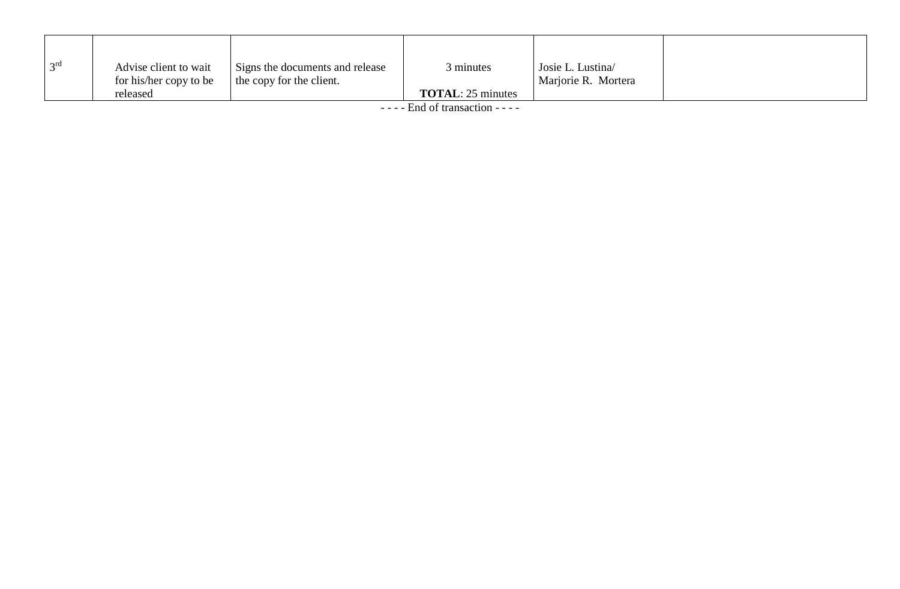| 2rd | Advise client to wait  | Signs the documents and release | minutes                   | Josie L. Lustina    |  |
|-----|------------------------|---------------------------------|---------------------------|---------------------|--|
|     | for his/her copy to be | the copy for the client.        |                           | Marjorie R. Mortera |  |
|     | released               |                                 | <b>TOTAL</b> : 25 minutes |                     |  |